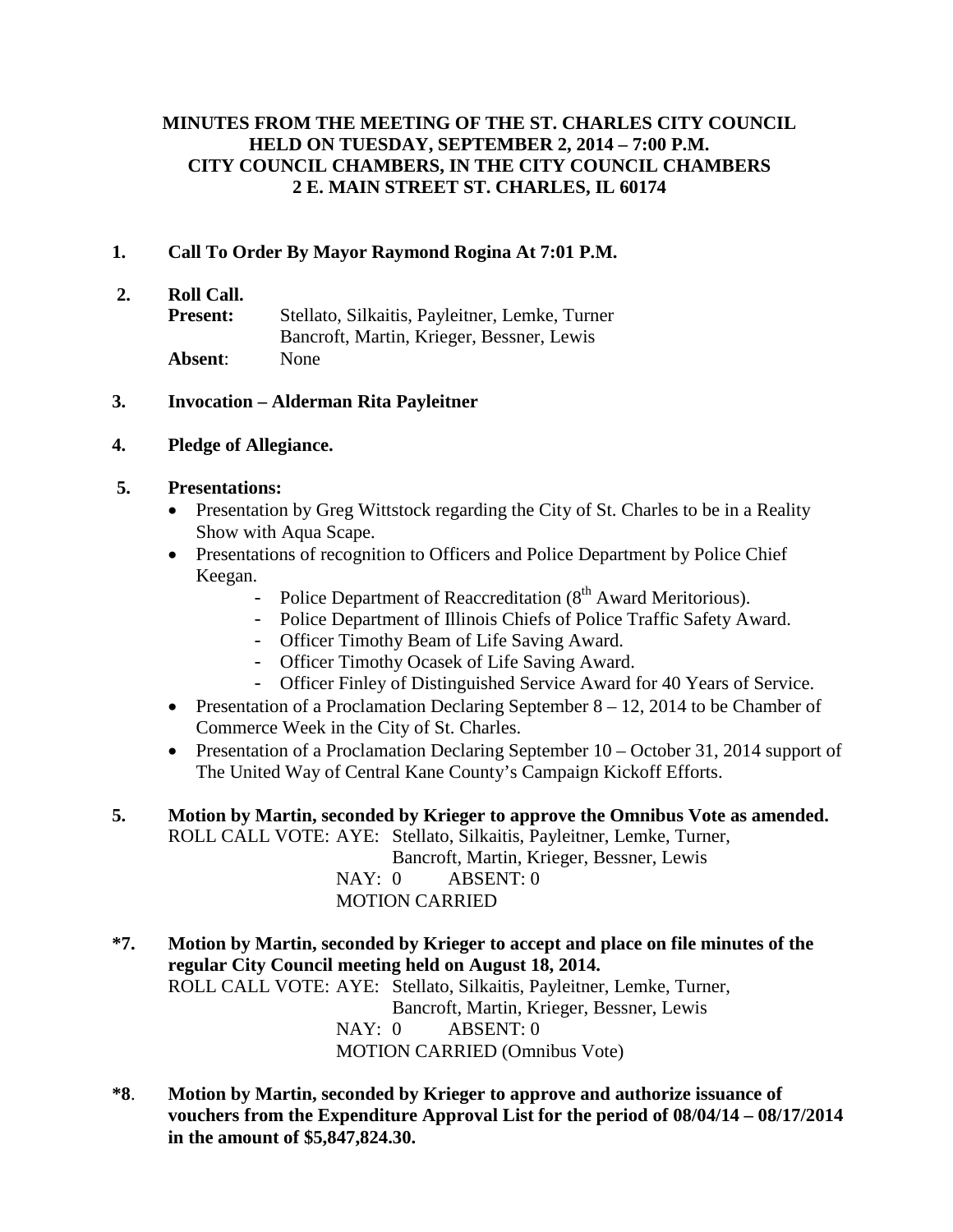## **MINUTES FROM THE MEETING OF THE ST. CHARLES CITY COUNCIL HELD ON TUESDAY, SEPTEMBER 2, 2014 – 7:00 P.M. CITY COUNCIL CHAMBERS, IN THE CITY COUNCIL CHAMBERS 2 E. MAIN STREET ST. CHARLES, IL 60174**

### **1. Call To Order By Mayor Raymond Rogina At 7:01 P.M.**

- **2. Roll Call.**
	- **Present:** Stellato, Silkaitis, Payleitner, Lemke, Turner Bancroft, Martin, Krieger, Bessner, Lewis **Absent**: None

#### **3. Invocation – Alderman Rita Payleitner**

### **4. Pledge of Allegiance.**

### **5. Presentations:**

- Presentation by Greg Wittstock regarding the City of St. Charles to be in a Reality Show with Aqua Scape.
- Presentations of recognition to Officers and Police Department by Police Chief Keegan.
	- Police Department of Reaccreditation  $(8<sup>th</sup> Award Meritorious).$
	- Police Department of Illinois Chiefs of Police Traffic Safety Award.
	- Officer Timothy Beam of Life Saving Award.
	- Officer Timothy Ocasek of Life Saving Award.
	- Officer Finley of Distinguished Service Award for 40 Years of Service.
- Presentation of a Proclamation Declaring September  $8 12$ , 2014 to be Chamber of Commerce Week in the City of St. Charles.
- Presentation of a Proclamation Declaring September 10 October 31, 2014 support of The United Way of Central Kane County's Campaign Kickoff Efforts.
- **5. Motion by Martin, seconded by Krieger to approve the Omnibus Vote as amended.** ROLL CALL VOTE: AYE: Stellato, Silkaitis, Payleitner, Lemke, Turner,

Bancroft, Martin, Krieger, Bessner, Lewis NAY: 0 ABSENT: 0 MOTION CARRIED

- **\*7. Motion by Martin, seconded by Krieger to accept and place on file minutes of the regular City Council meeting held on August 18, 2014.** ROLL CALL VOTE: AYE: Stellato, Silkaitis, Payleitner, Lemke, Turner, Bancroft, Martin, Krieger, Bessner, Lewis NAY: 0 ABSENT: 0 MOTION CARRIED (Omnibus Vote)
- **\*8**. **Motion by Martin, seconded by Krieger to approve and authorize issuance of vouchers from the Expenditure Approval List for the period of 08/04/14 – 08/17/2014 in the amount of \$5,847,824.30.**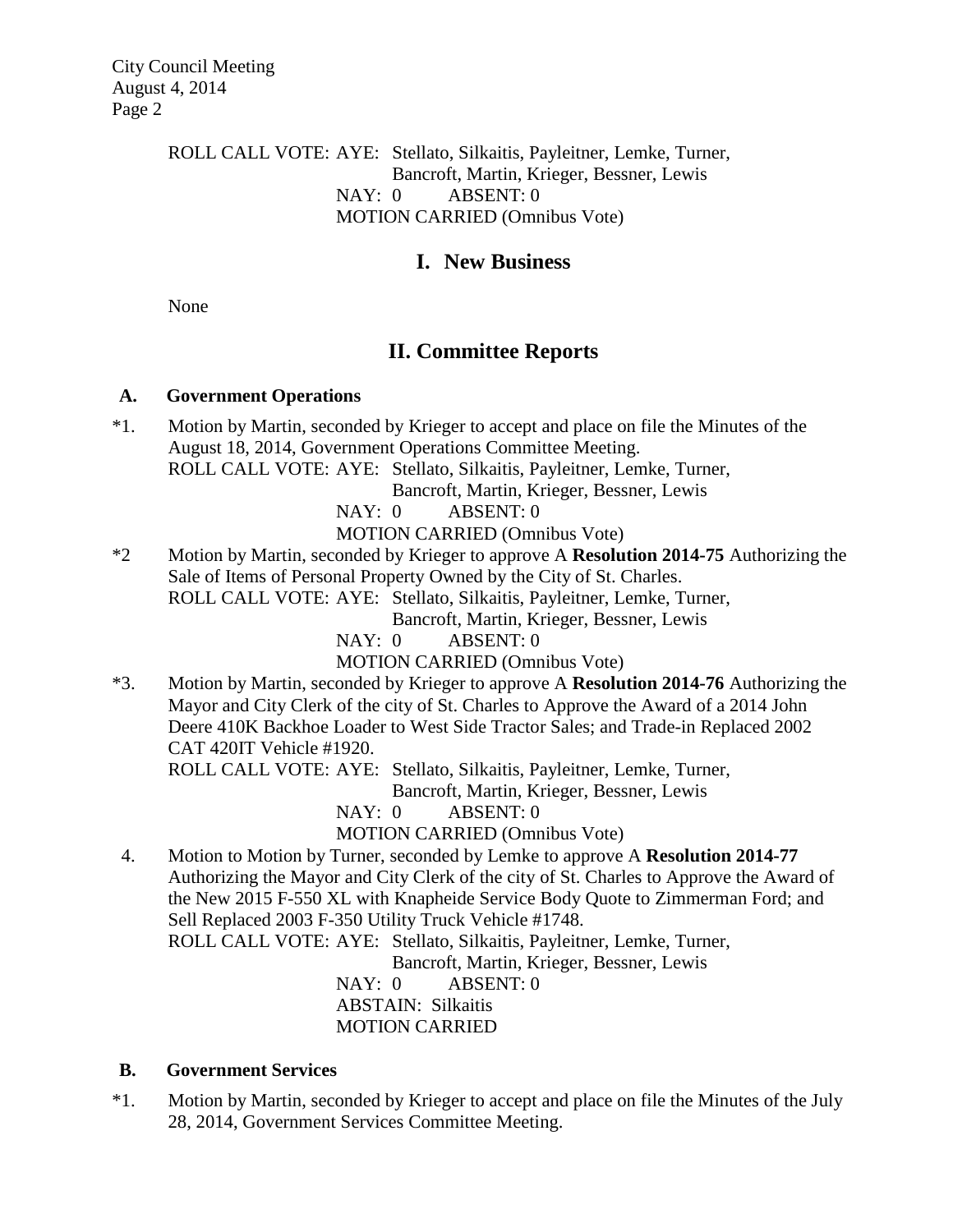City Council Meeting August 4, 2014 Page 2

> ROLL CALL VOTE: AYE: Stellato, Silkaitis, Payleitner, Lemke, Turner, Bancroft, Martin, Krieger, Bessner, Lewis NAY: 0 ABSENT: 0 MOTION CARRIED (Omnibus Vote)

# **I. New Business**

None

# **II. Committee Reports**

#### **A. Government Operations**

\*1. Motion by Martin, seconded by Krieger to accept and place on file the Minutes of the August 18, 2014, Government Operations Committee Meeting. ROLL CALL VOTE: AYE: Stellato, Silkaitis, Payleitner, Lemke, Turner,

Bancroft, Martin, Krieger, Bessner, Lewis

NAY: 0 ABSENT: 0

MOTION CARRIED (Omnibus Vote)

\*2 Motion by Martin, seconded by Krieger to approve A **Resolution 2014-75** Authorizing the Sale of Items of Personal Property Owned by the City of St. Charles. ROLL CALL VOTE: AYE: Stellato, Silkaitis, Payleitner, Lemke, Turner,

Bancroft, Martin, Krieger, Bessner, Lewis

NAY: 0 ABSENT: 0

MOTION CARRIED (Omnibus Vote)

\*3. Motion by Martin, seconded by Krieger to approve A **Resolution 2014-76** Authorizing the Mayor and City Clerk of the city of St. Charles to Approve the Award of a 2014 John Deere 410K Backhoe Loader to West Side Tractor Sales; and Trade-in Replaced 2002 CAT 420IT Vehicle #1920.

ROLL CALL VOTE: AYE: Stellato, Silkaitis, Payleitner, Lemke, Turner,

Bancroft, Martin, Krieger, Bessner, Lewis

NAY: 0 ABSENT: 0

MOTION CARRIED (Omnibus Vote)

 4. Motion to Motion by Turner, seconded by Lemke to approve A **Resolution 2014-77** Authorizing the Mayor and City Clerk of the city of St. Charles to Approve the Award of the New 2015 F-550 XL with Knapheide Service Body Quote to Zimmerman Ford; and Sell Replaced 2003 F-350 Utility Truck Vehicle #1748.

ROLL CALL VOTE: AYE: Stellato, Silkaitis, Payleitner, Lemke, Turner,

Bancroft, Martin, Krieger, Bessner, Lewis

NAY: 0 ABSENT: 0 ABSTAIN: Silkaitis MOTION CARRIED

## **B. Government Services**

\*1. Motion by Martin, seconded by Krieger to accept and place on file the Minutes of the July 28, 2014, Government Services Committee Meeting.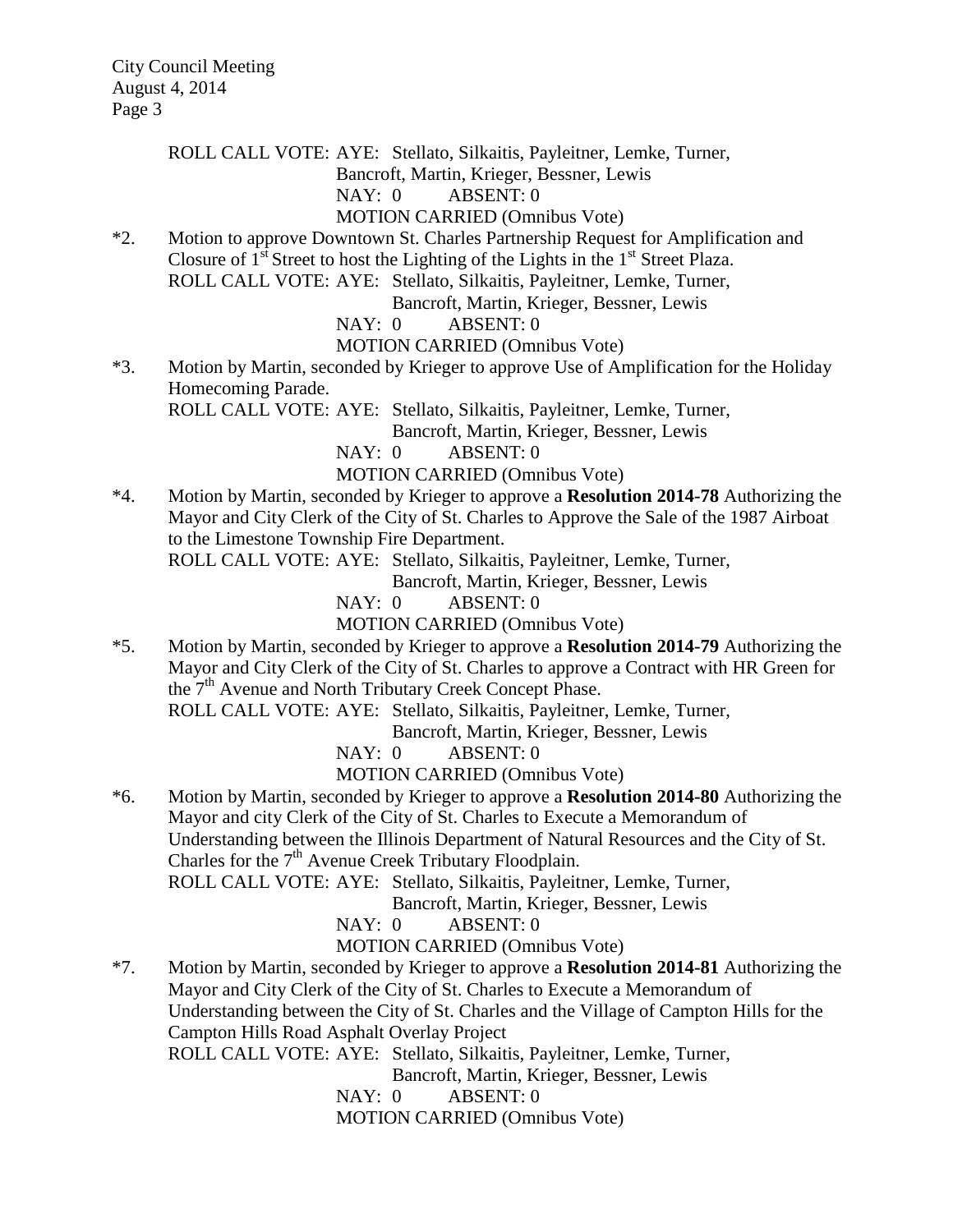ROLL CALL VOTE: AYE: Stellato, Silkaitis, Payleitner, Lemke, Turner,

Bancroft, Martin, Krieger, Bessner, Lewis

#### NAY: 0 ABSENT: 0

#### MOTION CARRIED (Omnibus Vote)

\*2. Motion to approve Downtown St. Charles Partnership Request for Amplification and Closure of  $1<sup>st</sup>$  Street to host the Lighting of the Lights in the  $1<sup>st</sup>$  Street Plaza. ROLL CALL VOTE: AYE: Stellato, Silkaitis, Payleitner, Lemke, Turner,

Bancroft, Martin, Krieger, Bessner, Lewis

NAY: 0 ABSENT: 0

MOTION CARRIED (Omnibus Vote)

\*3. Motion by Martin, seconded by Krieger to approve Use of Amplification for the Holiday Homecoming Parade.

ROLL CALL VOTE: AYE: Stellato, Silkaitis, Payleitner, Lemke, Turner,

Bancroft, Martin, Krieger, Bessner, Lewis

NAY: 0 ABSENT: 0

MOTION CARRIED (Omnibus Vote)

\*4. Motion by Martin, seconded by Krieger to approve a **Resolution 2014-78** Authorizing the Mayor and City Clerk of the City of St. Charles to Approve the Sale of the 1987 Airboat to the Limestone Township Fire Department.

ROLL CALL VOTE: AYE: Stellato, Silkaitis, Payleitner, Lemke, Turner,

Bancroft, Martin, Krieger, Bessner, Lewis

NAY: 0 ABSENT: 0

MOTION CARRIED (Omnibus Vote)

\*5. Motion by Martin, seconded by Krieger to approve a **Resolution 2014-79** Authorizing the Mayor and City Clerk of the City of St. Charles to approve a Contract with HR Green for the  $7<sup>th</sup>$  Avenue and North Tributary Creek Concept Phase.

ROLL CALL VOTE: AYE: Stellato, Silkaitis, Payleitner, Lemke, Turner,

Bancroft, Martin, Krieger, Bessner, Lewis

NAY: 0 ABSENT: 0

MOTION CARRIED (Omnibus Vote)

\*6. Motion by Martin, seconded by Krieger to approve a **Resolution 2014-80** Authorizing the Mayor and city Clerk of the City of St. Charles to Execute a Memorandum of Understanding between the Illinois Department of Natural Resources and the City of St. Charles for the  $7<sup>th</sup>$  Avenue Creek Tributary Floodplain. ROLL CALL VOTE: AYE: Stellato, Silkaitis, Payleitner, Lemke, Turner,

Bancroft, Martin, Krieger, Bessner, Lewis

NAY: 0 ABSENT: 0

MOTION CARRIED (Omnibus Vote)

\*7. Motion by Martin, seconded by Krieger to approve a **Resolution 2014-81** Authorizing the Mayor and City Clerk of the City of St. Charles to Execute a Memorandum of Understanding between the City of St. Charles and the Village of Campton Hills for the Campton Hills Road Asphalt Overlay Project ROLL CALL VOTE: AYE: Stellato, Silkaitis, Payleitner, Lemke, Turner, Bancroft, Martin, Krieger, Bessner, Lewis NAY: 0 ABSENT: 0

MOTION CARRIED (Omnibus Vote)